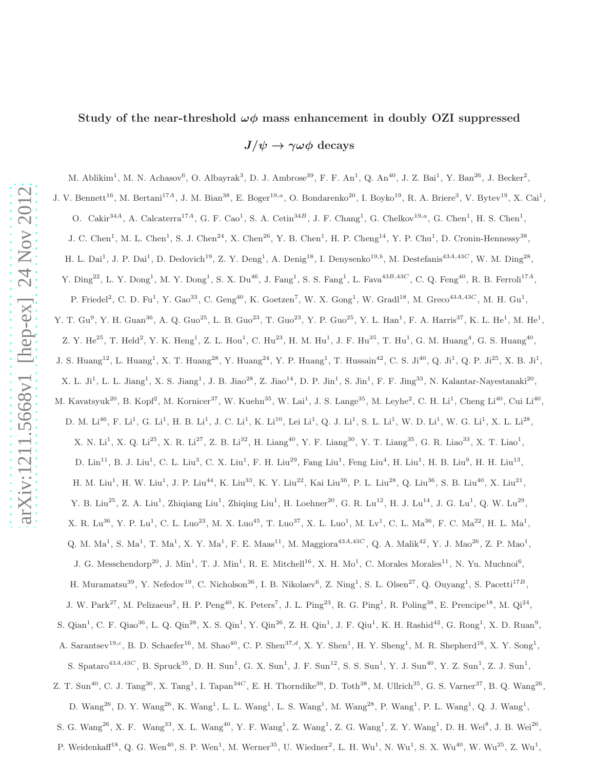# Study of the near-threshold  $\omega\phi$  mass enhancement in doubly OZI suppressed

 $J/\psi \rightarrow \gamma \omega \phi$  decays

M. Ablikim<sup>1</sup>, M. N. Achasov<sup>6</sup>, O. Albayrak<sup>3</sup>, D. J. Ambrose<sup>39</sup>, F. F. An<sup>1</sup>, Q. An<sup>40</sup>, J. Z. Bai<sup>1</sup>, Y. Ban<sup>26</sup>, J. Becker<sup>2</sup>,

J. V. Bennett<sup>16</sup>, M. Bertani<sup>17A</sup>, J. M. Bian<sup>38</sup>, E. Boger<sup>19,a</sup>, O. Bondarenko<sup>20</sup>, I. Boyko<sup>19</sup>, R. A. Briere<sup>3</sup>, V. Bytev<sup>19</sup>, X. Cai<sup>1</sup>,

O. Cakir<sup>34A</sup>, A. Calcaterra<sup>17A</sup>, G. F. Cao<sup>1</sup>, S. A. Cetin<sup>34B</sup>, J. F. Chang<sup>1</sup>, G. Chelkov<sup>19,a</sup>, G. Chen<sup>1</sup>, H. S. Chen<sup>1</sup>,

J. C. Chen<sup>1</sup>, M. L. Chen<sup>1</sup>, S. J. Chen<sup>24</sup>, X. Chen<sup>26</sup>, Y. B. Chen<sup>1</sup>, H. P. Cheng<sup>14</sup>, Y. P. Chu<sup>1</sup>, D. Cronin-Hennessy<sup>38</sup>,

H. L. Dai<sup>1</sup>, J. P. Dai<sup>1</sup>, D. Dedovich<sup>19</sup>, Z. Y. Deng<sup>1</sup>, A. Denig<sup>18</sup>, I. Denysenko<sup>19,b</sup>, M. Destefanis<sup>43A,43C</sup>, W. M. Ding<sup>28</sup>,

Y.  $\text{Ding}^{22}$ , L. Y.  $\text{Dong}^1$ , M. Y.  $\text{Dong}^1$ , S. X.  $\text{Du}^{46}$ , J.  $\text{Fang}^1$ , S. S.  $\text{Fang}^1$ , L.  $\text{Fava}^{43B,43C}$ , C. Q.  $\text{Feng}^{40}$ , R. B.  $\text{Ferroli}^{17A}$ ,

P. Friedel<sup>2</sup>, C. D. Fu<sup>1</sup>, Y. Gao<sup>33</sup>, C. Geng<sup>40</sup>, K. Goetzen<sup>7</sup>, W. X. Gong<sup>1</sup>, W. Gradl<sup>18</sup>, M. Greco<sup>43A,43C</sup>, M. H. Gu<sup>1</sup>,

Y. T. Gu<sup>9</sup>, Y. H. Guan<sup>36</sup>, A. Q. Guo<sup>25</sup>, L. B. Guo<sup>23</sup>, T. Guo<sup>23</sup>, Y. P. Guo<sup>25</sup>, Y. L. Han<sup>1</sup>, F. A. Harris<sup>37</sup>, K. L. He<sup>1</sup>, M. He<sup>1</sup>,

Z. Y. He<sup>25</sup>, T. Held<sup>2</sup>, Y. K. Heng<sup>1</sup>, Z. L. Hou<sup>1</sup>, C. Hu<sup>23</sup>, H. M. Hu<sup>1</sup>, J. F. Hu<sup>35</sup>, T. Hu<sup>1</sup>, G. M. Huang<sup>4</sup>, G. S. Huang<sup>40</sup>,

J. S. Huang<sup>12</sup>, L. Huang<sup>1</sup>, X. T. Huang<sup>28</sup>, Y. Huang<sup>24</sup>, Y. P. Huang<sup>1</sup>, T. Hussain<sup>42</sup>, C. S. Ji<sup>40</sup>, Q. Ji<sup>1</sup>, Q. P. Ji<sup>25</sup>, X. B. Ji<sup>1</sup>,

X. L. Ji<sup>1</sup>, L. L. Jiang<sup>1</sup>, X. S. Jiang<sup>1</sup>, J. B. Jiao<sup>28</sup>, Z. Jiao<sup>14</sup>, D. P. Jin<sup>1</sup>, S. Jin<sup>1</sup>, F. F. Jing<sup>33</sup>, N. Kalantar-Nayestanaki<sup>20</sup>,

M. Kavatsyuk<sup>20</sup>, B. Kopf<sup>2</sup>, M. Kornicer<sup>37</sup>, W. Kuehn<sup>35</sup>, W. Lai<sup>1</sup>, J. S. Lange<sup>35</sup>, M. Leyhe<sup>2</sup>, C. H. Li<sup>1</sup>, Cheng Li<sup>40</sup>, Cui Li<sup>40</sup>,

D. M.  $Li^{46}$ , F.  $Li^1$ , G.  $Li^1$ , H. B.  $Li^1$ , J. C.  $Li^1$ , K.  $Li^{10}$ , Lei  $Li^1$ , Q. J.  $Li^1$ , S. L.  $Li^1$ , W. D.  $Li^1$ , W. G.  $Li^1$ , X. L.  $Li^{28}$ ,

X. N. Li<sup>1</sup>, X. Q. Li<sup>25</sup>, X. R. Li<sup>27</sup>, Z. B. Li<sup>32</sup>, H. Liang<sup>40</sup>, Y. F. Liang<sup>30</sup>, Y. T. Liang<sup>35</sup>, G. R. Liao<sup>33</sup>, X. T. Liao<sup>1</sup>,

D.  $\text{Lin}^{11}$ , B. J.  $\text{Liu}^1$ , C. L.  $\text{Liu}^3$ , C. X.  $\text{Liu}^1$ , F. H.  $\text{Liu}^{29}$ , Fang  $\text{Liu}^1$ , Feng  $\text{Liu}^4$ , H.  $\text{Liu}^1$ , H. B.  $\text{Liu}^9$ , H. H.  $\text{Liu}^{13}$ ,

 $H.$  M. Liu<sup>1</sup>, H. W. Liu<sup>1</sup>, J. P. Liu<sup>44</sup>, K. Liu<sup>33</sup>, K. Y. Liu<sup>22</sup>, Kai Liu<sup>36</sup>, P. L. Liu<sup>28</sup>, Q. Liu<sup>36</sup>, S. B. Liu<sup>40</sup>, X. Liu<sup>21</sup>,

Y. B. Liu<sup>25</sup>, Z. A. Liu<sup>1</sup>, Zhiqiang Liu<sup>1</sup>, Zhiqing Liu<sup>1</sup>, H. Loehner<sup>20</sup>, G. R. Lu<sup>12</sup>, H. J. Lu<sup>14</sup>, J. G. Lu<sup>1</sup>, Q. W. Lu<sup>29</sup>,

X. R. Lu<sup>36</sup>, Y. P. Lu<sup>1</sup>, C. L. Luo<sup>23</sup>, M. X. Luo<sup>45</sup>, T. Luo<sup>37</sup>, X. L. Luo<sup>1</sup>, M. Lv<sup>1</sup>, C. L. Ma<sup>36</sup>, F. C. Ma<sup>22</sup>, H. L. Ma<sup>1</sup>,

Q. M. Ma<sup>1</sup>, S. Ma<sup>1</sup>, T. Ma<sup>1</sup>, X. Y. Ma<sup>1</sup>, F. E. Maas<sup>11</sup>, M. Maggiora<sup>43A,43C</sup>, Q. A. Malik<sup>42</sup>, Y. J. Mao<sup>26</sup>, Z. P. Mao<sup>1</sup>,

J. G. Messchendorp<sup>20</sup>, J. Min<sup>1</sup>, T. J. Min<sup>1</sup>, R. E. Mitchell<sup>16</sup>, X. H. Mo<sup>1</sup>, C. Morales Morales<sup>11</sup>, N. Yu. Muchnoi<sup>6</sup>,

H. Muramatsu<sup>39</sup>, Y. Nefedov<sup>19</sup>, C. Nicholson<sup>36</sup>, I. B. Nikolaev<sup>6</sup>, Z. Ning<sup>1</sup>, S. L. Olsen<sup>27</sup>, Q. Ouyang<sup>1</sup>, S. Pacetti<sup>17B</sup>,

J. W. Park<sup>27</sup>, M. Pelizaeus<sup>2</sup>, H. P. Peng<sup>40</sup>, K. Peters<sup>7</sup>, J. L. Ping<sup>23</sup>, R. G. Ping<sup>1</sup>, R. Poling<sup>38</sup>, E. Prencipe<sup>18</sup>, M. Qi<sup>24</sup>,

S. Qian<sup>1</sup>, C. F. Qiao<sup>36</sup>, L. Q. Qin<sup>28</sup>, X. S. Qin<sup>1</sup>, Y. Qin<sup>26</sup>, Z. H. Qin<sup>1</sup>, J. F. Qiu<sup>1</sup>, K. H. Rashid<sup>42</sup>, G. Rong<sup>1</sup>, X. D. Ruan<sup>9</sup>,

A. Sarantsev<sup>19,c</sup>, B. D. Schaefer<sup>16</sup>, M. Shao<sup>40</sup>, C. P. Shen<sup>37,d</sup>, X. Y. Shen<sup>1</sup>, H. Y. Sheng<sup>1</sup>, M. R. Shepherd<sup>16</sup>, X. Y. Song<sup>1</sup>,

S. Spataro<sup>43A,43C</sup>, B. Spruck<sup>35</sup>, D. H. Sun<sup>1</sup>, G. X. Sun<sup>1</sup>, J. F. Sun<sup>12</sup>, S. S. Sun<sup>1</sup>, Y. J. Sun<sup>40</sup>, Y. Z. Sun<sup>1</sup>, Z. J. Sun<sup>1</sup>,

Z. T. Sun<sup>40</sup>, C. J. Tang<sup>30</sup>, X. Tang<sup>1</sup>, I. Tapan<sup>34*C*</sup>, E. H. Thorndike<sup>39</sup>, D. Toth<sup>38</sup>, M. Ullrich<sup>35</sup>, G. S. Varner<sup>37</sup>, B. Q. Wang<sup>26</sup>, D.  $\text{Wang}^{26}$ , D. Y.  $\text{Wang}^{26}$ , K.  $\text{Wang}^1$ , L. L.  $\text{Wang}^1$ , L. S.  $\text{Wang}^1$ , M.  $\text{Wang}^{28}$ , P.  $\text{Wang}^1$ , P. L.  $\text{Wang}^1$ , Q. J.  $\text{Wang}^1$ ,

S. G. Wang<sup>26</sup>, X. F. Wang<sup>33</sup>, X. L. Wang<sup>40</sup>, Y. F. Wang<sup>1</sup>, Z. Wang<sup>1</sup>, Z. G. Wang<sup>1</sup>, Z. Y. Wang<sup>1</sup>, D. H. Wei<sup>8</sup>, J. B. Wei<sup>26</sup>,

P. Weidenkaff<sup>18</sup>, Q. G. Wen<sup>40</sup>, S. P. Wen<sup>1</sup>, M. Werner<sup>35</sup>, U. Wiedner<sup>2</sup>, L. H. Wu<sup>1</sup>, N. Wu<sup>1</sup>, S. X. Wu<sup>40</sup>, W. Wu<sup>25</sup>, Z. Wu<sup>1</sup>,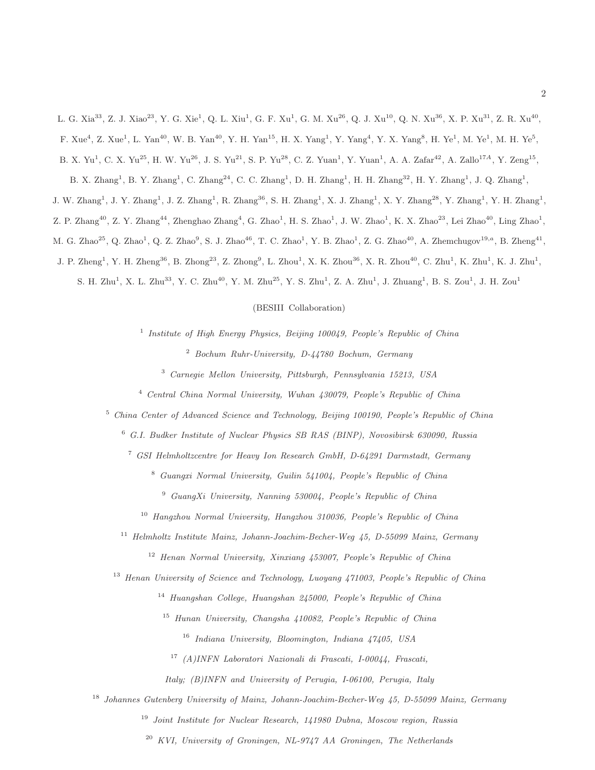L. G. Xia<sup>33</sup>, Z. J. Xiao<sup>23</sup>, Y. G. Xie<sup>1</sup>, Q. L. Xiu<sup>1</sup>, G. F. Xu<sup>1</sup>, G. M. Xu<sup>26</sup>, Q. J. Xu<sup>10</sup>, Q. N. Xu<sup>36</sup>, X. P. Xu<sup>31</sup>, Z. R. Xu<sup>40</sup>, F. Xue<sup>4</sup>, Z. Xue<sup>1</sup>, L. Yan<sup>40</sup>, W. B. Yan<sup>40</sup>, Y. H. Yan<sup>15</sup>, H. X. Yang<sup>1</sup>, Y. Yang<sup>4</sup>, Y. X. Yang<sup>8</sup>, H. Ye<sup>1</sup>, M. Ye<sup>1</sup>, M. H. Ye<sup>5</sup>,

B. X. Yu<sup>1</sup>, C. X. Yu<sup>25</sup>, H. W. Yu<sup>26</sup>, J. S. Yu<sup>21</sup>, S. P. Yu<sup>28</sup>, C. Z. Yuan<sup>1</sup>, Y. Yuan<sup>1</sup>, A. A. Zafar<sup>42</sup>, A. Zallo<sup>17A</sup>, Y. Zeng<sup>15</sup>,

B. X. Zhang<sup>1</sup>, B. Y. Zhang<sup>1</sup>, C. Zhang<sup>24</sup>, C. C. Zhang<sup>1</sup>, D. H. Zhang<sup>1</sup>, H. H. Zhang<sup>32</sup>, H. Y. Zhang<sup>1</sup>, J. Q. Zhang<sup>1</sup>,

J. W. Zhang<sup>1</sup>, J. Y. Zhang<sup>1</sup>, J. Z. Zhang<sup>1</sup>, R. Zhang<sup>36</sup>, S. H. Zhang<sup>1</sup>, X. J. Zhang<sup>1</sup>, X. Y. Zhang<sup>28</sup>, Y. Zhang<sup>1</sup>, Y. H. Zhang<sup>1</sup>,

Z. P. Zhang<sup>40</sup>, Z. Y. Zhang<sup>44</sup>, Zhenghao Zhang<sup>4</sup>, G. Zhao<sup>1</sup>, H. S. Zhao<sup>1</sup>, J. W. Zhao<sup>1</sup>, K. X. Zhao<sup>23</sup>, Lei Zhao<sup>40</sup>, Ling Zhao<sup>1</sup>,

M. G. Zhao<sup>25</sup>, Q. Zhao<sup>1</sup>, Q. Z. Zhao<sup>9</sup>, S. J. Zhao<sup>46</sup>, T. C. Zhao<sup>1</sup>, Y. B. Zhao<sup>1</sup>, Z. G. Zhao<sup>40</sup>, A. Zhemchugov<sup>19,a</sup>, B. Zheng<sup>41</sup>,

J. P. Zheng<sup>1</sup>, Y. H. Zheng<sup>36</sup>, B. Zhong<sup>23</sup>, Z. Zhong<sup>9</sup>, L. Zhou<sup>1</sup>, X. K. Zhou<sup>36</sup>, X. R. Zhou<sup>40</sup>, C. Zhu<sup>1</sup>, K. Zhu<sup>1</sup>, K. J. Zhu<sup>1</sup>,

S. H. Zhu<sup>1</sup>, X. L. Zhu<sup>33</sup>, Y. C. Zhu<sup>40</sup>, Y. M. Zhu<sup>25</sup>, Y. S. Zhu<sup>1</sup>, Z. A. Zhu<sup>1</sup>, J. Zhuang<sup>1</sup>, B. S. Zou<sup>1</sup>, J. H. Zou<sup>1</sup>

(BESIII Collaboration)

 *Institute of High Energy Physics, Beijing 100049, People's Republic of China Bochum Ruhr-University, D-44780 Bochum, Germany*

*Carnegie Mellon University, Pittsburgh, Pennsylvania 15213, USA*

*Central China Normal University, Wuhan 430079, People's Republic of China*

*China Center of Advanced Science and Technology, Beijing 100190, People's Republic of China*

*G.I. Budker Institute of Nuclear Physics SB RAS (BINP), Novosibirsk 630090, Russia*

*GSI Helmholtzcentre for Heavy Ion Research GmbH, D-64291 Darmstadt, Germany*

*Guangxi Normal University, Guilin 541004, People's Republic of China*

*GuangXi University, Nanning 530004, People's Republic of China*

*Hangzhou Normal University, Hangzhou 310036, People's Republic of China*

*Helmholtz Institute Mainz, Johann-Joachim-Becher-Weg 45, D-55099 Mainz, Germany*

*Henan Normal University, Xinxiang 453007, People's Republic of China*

*Henan University of Science and Technology, Luoyang 471003, People's Republic of China*

*Huangshan College, Huangshan 245000, People's Republic of China*

*Hunan University, Changsha 410082, People's Republic of China*

*Indiana University, Bloomington, Indiana 47405, USA*

*(A)INFN Laboratori Nazionali di Frascati, I-00044, Frascati,*

*Italy; (B)INFN and University of Perugia, I-06100, Perugia, Italy*

*Johannes Gutenberg University of Mainz, Johann-Joachim-Becher-Weg 45, D-55099 Mainz, Germany*

*Joint Institute for Nuclear Research, 141980 Dubna, Moscow region, Russia*

*KVI, University of Groningen, NL-9747 AA Groningen, The Netherlands*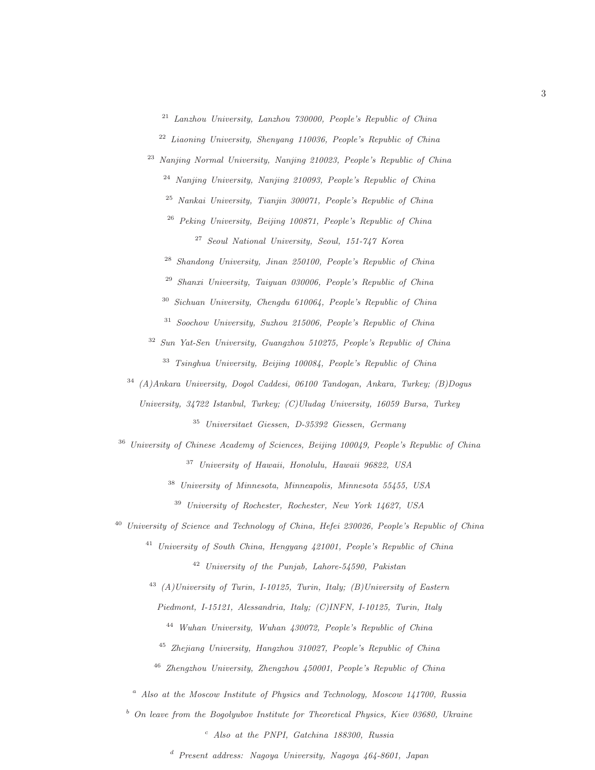*Lanzhou University, Lanzhou 730000, People's Republic of China*

*Liaoning University, Shenyang 110036, People's Republic of China*

*Nanjing Normal University, Nanjing 210023, People's Republic of China*

*Nanjing University, Nanjing 210093, People's Republic of China*

*Nankai University, Tianjin 300071, People's Republic of China*

*Peking University, Beijing 100871, People's Republic of China*

*Seoul National University, Seoul, 151-747 Korea*

*Shandong University, Jinan 250100, People's Republic of China*

*Shanxi University, Taiyuan 030006, People's Republic of China*

*Sichuan University, Chengdu 610064, People's Republic of China*

*Soochow University, Suzhou 215006, People's Republic of China*

 *Sun Yat-Sen University, Guangzhou 510275, People's Republic of China Tsinghua University, Beijing 100084, People's Republic of China*

 *(A)Ankara University, Dogol Caddesi, 06100 Tandogan, Ankara, Turkey; (B)Dogus University, 34722 Istanbul, Turkey; (C)Uludag University, 16059 Bursa, Turkey Universitaet Giessen, D-35392 Giessen, Germany*

 *University of Chinese Academy of Sciences, Beijing 100049, People's Republic of China University of Hawaii, Honolulu, Hawaii 96822, USA*

*University of Minnesota, Minneapolis, Minnesota 55455, USA*

*University of Rochester, Rochester, New York 14627, USA*

*University of Science and Technology of China, Hefei 230026, People's Republic of China*

 *University of South China, Hengyang 421001, People's Republic of China University of the Punjab, Lahore-54590, Pakistan*

 *(A)University of Turin, I-10125, Turin, Italy; (B)University of Eastern Piedmont, I-15121, Alessandria, Italy; (C)INFN, I-10125, Turin, Italy*

*Wuhan University, Wuhan 430072, People's Republic of China*

*Zhejiang University, Hangzhou 310027, People's Republic of China*

*Zhengzhou University, Zhengzhou 450001, People's Republic of China*

<sup>a</sup> *Also at the Moscow Institute of Physics and Technology, Moscow 141700, Russia*

<sup>b</sup> *On leave from the Bogolyubov Institute for Theoretical Physics, Kiev 03680, Ukraine*

<sup>c</sup> *Also at the PNPI, Gatchina 188300, Russia*

<sup>d</sup> *Present address: Nagoya University, Nagoya 464-8601, Japan*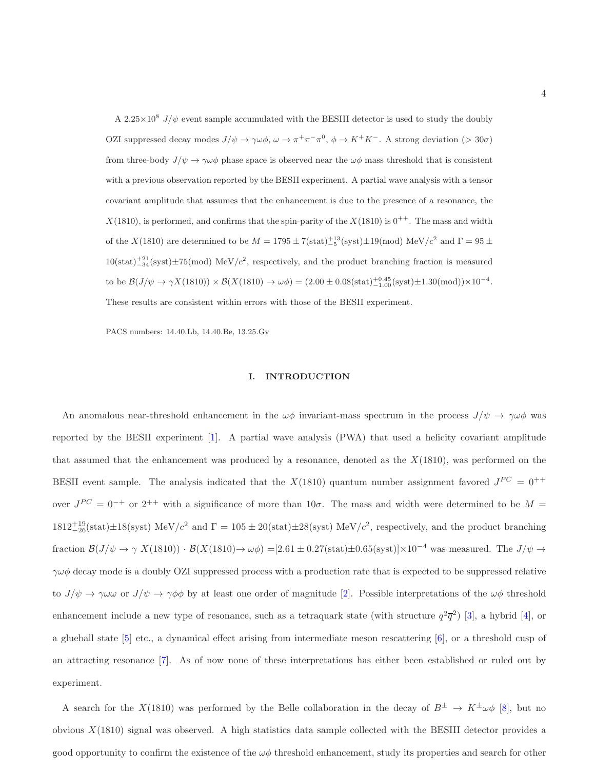A 2.25 $\times$ 10<sup>8</sup> J/ $\psi$  event sample accumulated with the BESIII detector is used to study the doubly OZI suppressed decay modes  $J/\psi \to \gamma \omega \phi$ ,  $\omega \to \pi^+ \pi^- \pi^0$ ,  $\phi \to K^+ K^-$ . A strong deviation (> 30 $\sigma$ ) from three-body  $J/\psi \to \gamma \omega \phi$  phase space is observed near the  $\omega \phi$  mass threshold that is consistent with a previous observation reported by the BESII experiment. A partial wave analysis with a tensor covariant amplitude that assumes that the enhancement is due to the presence of a resonance, the  $X(1810)$ , is performed, and confirms that the spin-parity of the  $X(1810)$  is  $0^{++}$ . The mass and width of the X(1810) are determined to be  $M = 1795 \pm 7(\text{stat})^{+13}_{-5}(\text{syst}) \pm 19 \text{(mod)}$  MeV/ $c^2$  and  $\Gamma = 95 \pm 7$  $10(stat)^{+21}_{-34}(syst) \pm 75(mod)$  MeV/ $c^2$ , respectively, and the product branching fraction is measured to be  $\mathcal{B}(J/\psi \to \gamma X(1810)) \times \mathcal{B}(X(1810) \to \omega \phi) = (2.00 \pm 0.08 \text{(stat)} \substack{+0.45 \\ -1.00} \text{(syst)} \pm 1.30 \text{(mod)}) \times 10^{-4}$ . These results are consistent within errors with those of the BESII experiment.

PACS numbers: 14.40.Lb, 14.40.Be, 13.25.Gv

### I. INTRODUCTION

An anomalous near-threshold enhancement in the  $\omega\phi$  invariant-mass spectrum in the process  $J/\psi \to \gamma\omega\phi$  was reported by the BESII experiment [1]. A partial wave analysis (PWA) that used a helicity covariant amplitude that assumed that the enhancement was produced by a resonance, denoted as the  $X(1810)$ , was performed on the BESII event sample. The analysis indicated that the  $X(1810)$  quantum number assignment favored  $J^{PC} = 0^{++}$ over  $J^{PC} = 0^{-+}$  or  $2^{++}$  with a significance of more than  $10\sigma$ . The mass and width were determined to be  $M =$  $1812^{+19}_{-26}$ (stat) $\pm 18$ (syst) MeV/ $c^2$  and  $\Gamma = 105 \pm 20$ (stat) $\pm 28$ (syst) MeV/ $c^2$ , respectively, and the product branching fraction  $\mathcal{B}(J/\psi \to \gamma X(1810)) \cdot \mathcal{B}(X(1810) \to \omega \phi) = [2.61 \pm 0.27(\text{stat}) \pm 0.65(\text{syst})] \times 10^{-4}$  was measured. The  $J/\psi \to \psi$  $\gamma\omega\phi$  decay mode is a doubly OZI suppressed process with a production rate that is expected to be suppressed relative to  $J/\psi \to \gamma \omega \omega$  or  $J/\psi \to \gamma \phi \phi$  by at least one order of magnitude [2]. Possible interpretations of the  $\omega \phi$  threshold enhancement include a new type of resonance, such as a tetraquark state (with structure  $q^2\overline{q}^2$ ) [3], a hybrid [4], or a glueball state [5] etc., a dynamical effect arising from intermediate meson rescattering [6], or a threshold cusp of an attracting resonance [7]. As of now none of these interpretations has either been established or ruled out by experiment.

A search for the X(1810) was performed by the Belle collaboration in the decay of  $B^{\pm} \to K^{\pm} \omega \phi$  [8], but no obvious  $X(1810)$  signal was observed. A high statistics data sample collected with the BESIII detector provides a good opportunity to confirm the existence of the  $\omega\phi$  threshold enhancement, study its properties and search for other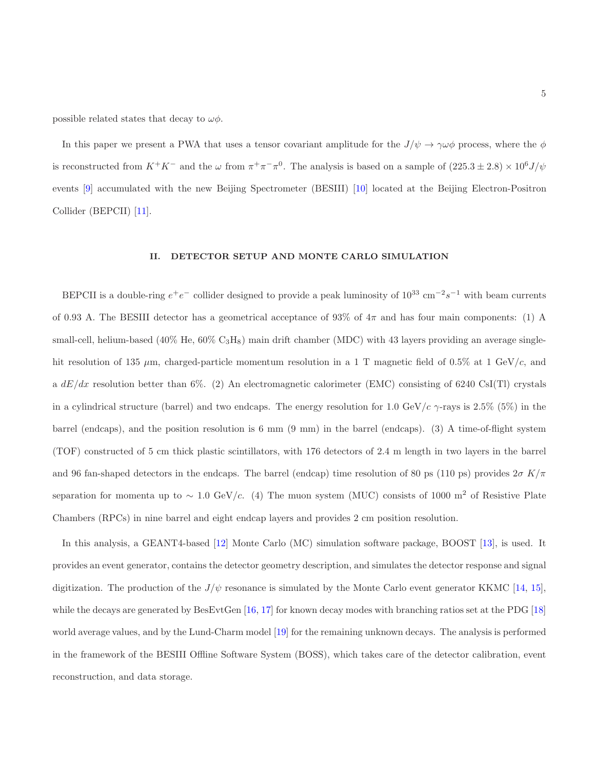possible related states that decay to  $\omega\phi$ .

In this paper we present a PWA that uses a tensor covariant amplitude for the  $J/\psi \to \gamma \omega \phi$  process, where the  $\phi$ is reconstructed from  $K^+K^-$  and the  $\omega$  from  $\pi^+\pi^-\pi^0$ . The analysis is based on a sample of  $(225.3 \pm 2.8) \times 10^6 J/\psi$ events [9] accumulated with the new Beijing Spectrometer (BESIII) [10] located at the Beijing Electron-Positron Collider (BEPCII) [11].

### II. DETECTOR SETUP AND MONTE CARLO SIMULATION

BEPCII is a double-ring  $e^+e^-$  collider designed to provide a peak luminosity of  $10^{33}$  cm<sup>-2</sup>s<sup>-1</sup> with beam currents of 0.93 A. The BESIII detector has a geometrical acceptance of 93% of 4π and has four main components: (1) A small-cell, helium-based (40% He,  $60\%$  C<sub>3</sub>H<sub>8</sub>) main drift chamber (MDC) with 43 layers providing an average singlehit resolution of 135  $\mu$ m, charged-particle momentum resolution in a 1 T magnetic field of 0.5% at 1 GeV/c, and a  $dE/dx$  resolution better than 6%. (2) An electromagnetic calorimeter (EMC) consisting of 6240 CsI(Tl) crystals in a cylindrical structure (barrel) and two endcaps. The energy resolution for 1.0 GeV/c  $\gamma$ -rays is 2.5% (5%) in the barrel (endcaps), and the position resolution is 6 mm (9 mm) in the barrel (endcaps). (3) A time-of-flight system (TOF) constructed of 5 cm thick plastic scintillators, with 176 detectors of 2.4 m length in two layers in the barrel and 96 fan-shaped detectors in the endcaps. The barrel (endcap) time resolution of 80 ps (110 ps) provides  $2\sigma K/\pi$ separation for momenta up to ~ 1.0 GeV/c. (4) The muon system (MUC) consists of 1000 m<sup>2</sup> of Resistive Plate Chambers (RPCs) in nine barrel and eight endcap layers and provides 2 cm position resolution.

In this analysis, a GEANT4-based [12] Monte Carlo (MC) simulation software package, BOOST [13], is used. It provides an event generator, contains the detector geometry description, and simulates the detector response and signal digitization. The production of the  $J/\psi$  resonance is simulated by the Monte Carlo event generator KKMC [14, 15], while the decays are generated by BesEvtGen [16, 17] for known decay modes with branching ratios set at the PDG [18] world average values, and by the Lund-Charm model [19] for the remaining unknown decays. The analysis is performed in the framework of the BESIII Offline Software System (BOSS), which takes care of the detector calibration, event reconstruction, and data storage.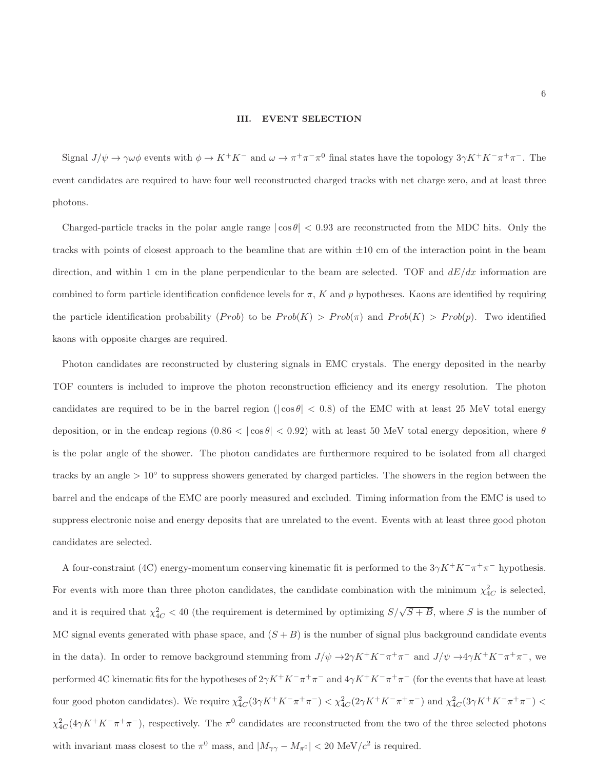### III. EVENT SELECTION

Signal  $J/\psi \to \gamma \omega \phi$  events with  $\phi \to K^+K^-$  and  $\omega \to \pi^+\pi^-\pi^0$  final states have the topology  $3\gamma K^+K^-\pi^+\pi^-$ . The event candidates are required to have four well reconstructed charged tracks with net charge zero, and at least three photons.

Charged-particle tracks in the polar angle range  $|\cos \theta| < 0.93$  are reconstructed from the MDC hits. Only the tracks with points of closest approach to the beamline that are within  $\pm 10$  cm of the interaction point in the beam direction, and within 1 cm in the plane perpendicular to the beam are selected. TOF and  $dE/dx$  information are combined to form particle identification confidence levels for  $\pi$ , K and p hypotheses. Kaons are identified by requiring the particle identification probability  $(Prob)$  to be  $Prob(K) > Prob(\pi)$  and  $Prob(K) > Prob(p)$ . Two identified kaons with opposite charges are required.

Photon candidates are reconstructed by clustering signals in EMC crystals. The energy deposited in the nearby TOF counters is included to improve the photon reconstruction efficiency and its energy resolution. The photon candidates are required to be in the barrel region ( $|\cos \theta|$  < 0.8) of the EMC with at least 25 MeV total energy deposition, or in the endcap regions  $(0.86 < |cos \theta| < 0.92)$  with at least 50 MeV total energy deposition, where  $\theta$ is the polar angle of the shower. The photon candidates are furthermore required to be isolated from all charged tracks by an angle  $> 10°$  to suppress showers generated by charged particles. The showers in the region between the barrel and the endcaps of the EMC are poorly measured and excluded. Timing information from the EMC is used to suppress electronic noise and energy deposits that are unrelated to the event. Events with at least three good photon candidates are selected.

A four-constraint (4C) energy-momentum conserving kinematic fit is performed to the  $3\gamma K^+K^-\pi^+\pi^-$  hypothesis. For events with more than three photon candidates, the candidate combination with the minimum  $\chi^2_{4C}$  is selected, and it is required that  $\chi^2_{4C} < 40$  (the requirement is determined by optimizing  $S/\sqrt{S+B}$ , where S is the number of MC signal events generated with phase space, and  $(S + B)$  is the number of signal plus background candidate events in the data). In order to remove background stemming from  $J/\psi \to 2\gamma K^+ K^- \pi^+ \pi^-$  and  $J/\psi \to 4\gamma K^+ K^- \pi^+ \pi^-$ , we performed 4C kinematic fits for the hypotheses of  $2\gamma K^+ K^-\pi^+\pi^-$  and  $4\gamma K^+ K^-\pi^+\pi^-$  (for the events that have at least four good photon candidates). We require  $\chi^2_{4C}(3\gamma K^+ K^- \pi^+ \pi^-) < \chi^2_{4C}(2\gamma K^+ K^- \pi^+ \pi^-)$  and  $\chi^2_{4C}(3\gamma K^+ K^- \pi^+ \pi^-) <$  $\chi^2_{4C}(4\gamma K^+K^-\pi^+\pi^-)$ , respectively. The  $\pi^0$  candidates are reconstructed from the two of the three selected photons with invariant mass closest to the  $\pi^0$  mass, and  $|M_{\gamma\gamma} - M_{\pi^0}| < 20$  MeV/ $c^2$  is required.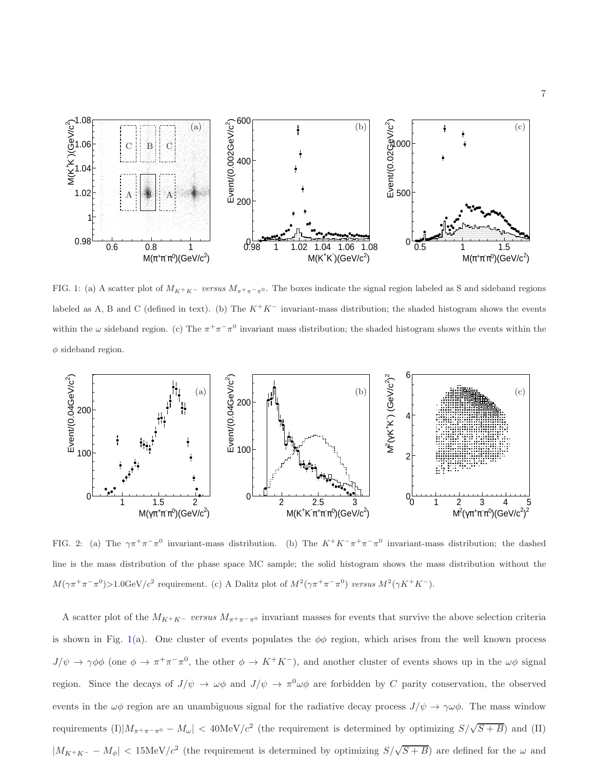

FIG. 1: (a) A scatter plot of  $M_{K^+K^-}$  versus  $M_{\pi^+\pi^-\pi^0}$ . The boxes indicate the signal region labeled as S and sideband regions labeled as A, B and C (defined in text). (b) The  $K^+K^-$  invariant-mass distribution; the shaded histogram shows the events within the  $\omega$  sideband region. (c) The  $\pi^{+}\pi^{-}\pi^{0}$  invariant mass distribution; the shaded histogram shows the events within the  $\phi$  sideband region.



FIG. 2: (a) The  $\gamma \pi^+ \pi^- \pi^0$  invariant-mass distribution. (b) The  $K^+ K^- \pi^+ \pi^- \pi^0$  invariant-mass distribution; the dashed line is the mass distribution of the phase space MC sample; the solid histogram shows the mass distribution without the  $M(\gamma \pi^+ \pi^- \pi^0) > 1.0$ GeV/ $c^2$  requirement. (c) A Dalitz plot of  $M^2(\gamma \pi^+ \pi^- \pi^0)$  versus  $M^2(\gamma K^+ K^-)$ .

A scatter plot of the  $M_{K^+K^-}$  versus  $M_{\pi^+\pi^-\pi^0}$  invariant masses for events that survive the above selection criteria is shown in Fig. 1(a). One cluster of events populates the  $\phi\phi$  region, which arises from the well known process  $J/\psi \to \gamma \phi \phi$  (one  $\phi \to \pi^+ \pi^- \pi^0$ , the other  $\phi \to K^+ K^-$ ), and another cluster of events shows up in the  $\omega \phi$  signal region. Since the decays of  $J/\psi \to \omega\phi$  and  $J/\psi \to \pi^0\omega\phi$  are forbidden by C parity conservation, the observed events in the  $\omega\phi$  region are an unambiguous signal for the radiative decay process  $J/\psi \to \gamma\omega\phi$ . The mass window requirements (I) $|M_{\pi^+\pi^-\pi^0} - M_\omega|$  < 40MeV/ $c^2$  (the requirement is determined by optimizing  $S/\sqrt{S+B}$ ) and (II)  $|M_{K^+K^-} - M_\phi|$  < 15MeV/c<sup>2</sup> (the requirement is determined by optimizing  $S/\sqrt{S+B}$ ) are defined for the  $\omega$  and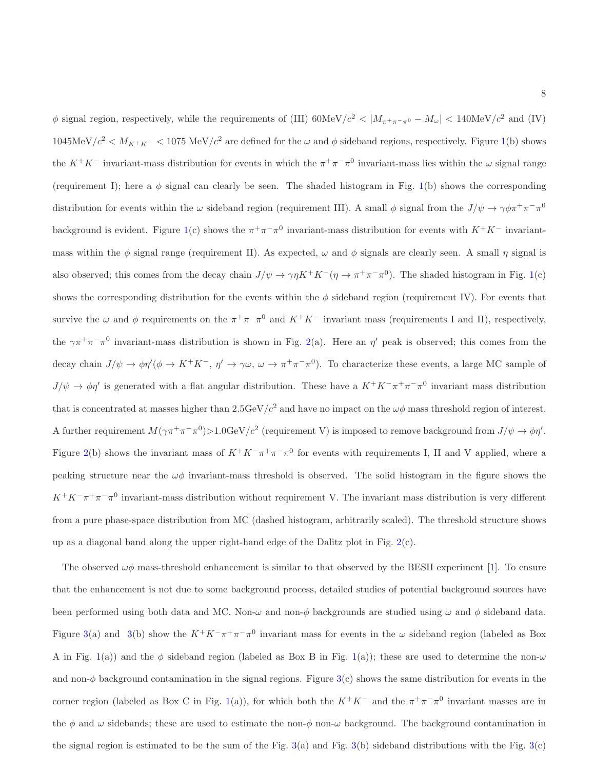$\phi$  signal region, respectively, while the requirements of (III) 60MeV/ $c^2$  <  $|M_{\pi^+\pi^-\pi^0} - M_{\omega}|$  < 140MeV/ $c^2$  and (IV)  $1045 \text{MeV}/c^2 < M_{K^+K^-} < 1075 \text{ MeV}/c^2$  are defined for the  $\omega$  and  $\phi$  sideband regions, respectively. Figure 1(b) shows the  $K^+K^-$  invariant-mass distribution for events in which the  $\pi^+\pi^-\pi^0$  invariant-mass lies within the  $\omega$  signal range (requirement I); here a  $\phi$  signal can clearly be seen. The shaded histogram in Fig. 1(b) shows the corresponding distribution for events within the  $\omega$  sideband region (requirement III). A small  $\phi$  signal from the  $J/\psi \to \gamma \phi \pi^+ \pi^- \pi^0$ background is evident. Figure 1(c) shows the  $\pi^+\pi^-\pi^0$  invariant-mass distribution for events with  $K^+K^-$  invariantmass within the  $\phi$  signal range (requirement II). As expected,  $\omega$  and  $\phi$  signals are clearly seen. A small  $\eta$  signal is also observed; this comes from the decay chain  $J/\psi \to \gamma \eta K^+ K^- (\eta \to \pi^+ \pi^- \pi^0)$ . The shaded histogram in Fig. 1(c) shows the corresponding distribution for the events within the  $\phi$  sideband region (requirement IV). For events that survive the  $\omega$  and  $\phi$  requirements on the  $\pi^+\pi^-\pi^0$  and  $K^+K^-$  invariant mass (requirements I and II), respectively, the  $\gamma \pi^+ \pi^- \pi^0$  invariant-mass distribution is shown in Fig. 2(a). Here an  $\eta'$  peak is observed; this comes from the decay chain  $J/\psi \to \phi \eta'(\phi \to K^+K^-$ ,  $\eta' \to \gamma \omega$ ,  $\omega \to \pi^+\pi^-\pi^0$ ). To characterize these events, a large MC sample of  $J/\psi \to \phi \eta'$  is generated with a flat angular distribution. These have a  $K^+K^-\pi^+\pi^-\pi^0$  invariant mass distribution that is concentrated at masses higher than  $2.5 \text{GeV}/c^2$  and have no impact on the  $\omega\phi$  mass threshold region of interest. A further requirement  $M(\gamma \pi^+ \pi^- \pi^0) > 1.0$  GeV/ $c^2$  (requirement V) is imposed to remove background from  $J/\psi \to \phi \eta'$ . Figure 2(b) shows the invariant mass of  $K^+K^-\pi^+\pi^-\pi^0$  for events with requirements I, II and V applied, where a peaking structure near the  $\omega\phi$  invariant-mass threshold is observed. The solid histogram in the figure shows the  $K^+K^-\pi^+\pi^-\pi^0$  invariant-mass distribution without requirement V. The invariant mass distribution is very different from a pure phase-space distribution from MC (dashed histogram, arbitrarily scaled). The threshold structure shows up as a diagonal band along the upper right-hand edge of the Dalitz plot in Fig. 2(c).

The observed  $\omega\phi$  mass-threshold enhancement is similar to that observed by the BESII experiment [1]. To ensure that the enhancement is not due to some background process, detailed studies of potential background sources have been performed using both data and MC. Non- $\omega$  and non- $\phi$  backgrounds are studied using  $\omega$  and  $\phi$  sideband data. Figure 3(a) and 3(b) show the  $K^+K^-\pi^+\pi^-\pi^0$  invariant mass for events in the  $\omega$  sideband region (labeled as Box A in Fig. 1(a)) and the  $\phi$  sideband region (labeled as Box B in Fig. 1(a)); these are used to determine the non- $\omega$ and non- $\phi$  background contamination in the signal regions. Figure 3(c) shows the same distribution for events in the corner region (labeled as Box C in Fig. 1(a)), for which both the  $K^+K^-$  and the  $\pi^+\pi^-\pi^0$  invariant masses are in the  $\phi$  and  $\omega$  sidebands; these are used to estimate the non- $\phi$  non- $\omega$  background. The background contamination in the signal region is estimated to be the sum of the Fig.  $3(a)$  and Fig.  $3(b)$  sideband distributions with the Fig.  $3(c)$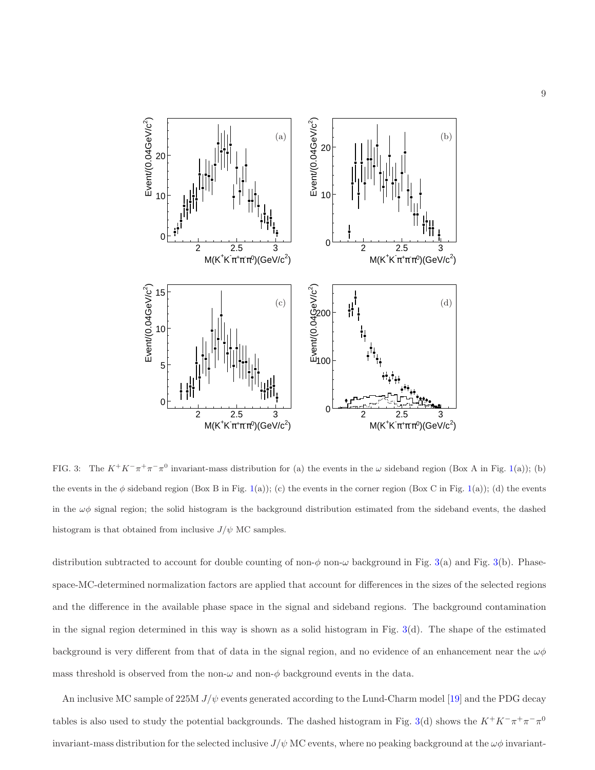

FIG. 3: The  $K^+K^-\pi^+\pi^-\pi^0$  invariant-mass distribution for (a) the events in the  $\omega$  sideband region (Box A in Fig. 1(a)); (b) the events in the  $\phi$  sideband region (Box B in Fig. 1(a)); (c) the events in the corner region (Box C in Fig. 1(a)); (d) the events in the  $\omega\phi$  signal region; the solid histogram is the background distribution estimated from the sideband events, the dashed histogram is that obtained from inclusive  $J/\psi$  MC samples.

distribution subtracted to account for double counting of non- $\phi$  non- $\omega$  background in Fig. 3(a) and Fig. 3(b). Phasespace-MC-determined normalization factors are applied that account for differences in the sizes of the selected regions and the difference in the available phase space in the signal and sideband regions. The background contamination in the signal region determined in this way is shown as a solid histogram in Fig.  $3(d)$ . The shape of the estimated background is very different from that of data in the signal region, and no evidence of an enhancement near the  $\omega\phi$ mass threshold is observed from the non- $\omega$  and non- $\phi$  background events in the data.

An inclusive MC sample of 225M  $J/\psi$  events generated according to the Lund-Charm model [19] and the PDG decay tables is also used to study the potential backgrounds. The dashed histogram in Fig. 3(d) shows the  $K^+K^-\pi^+\pi^-\pi^0$ invariant-mass distribution for the selected inclusive  $J/\psi$  MC events, where no peaking background at the  $\omega\phi$  invariant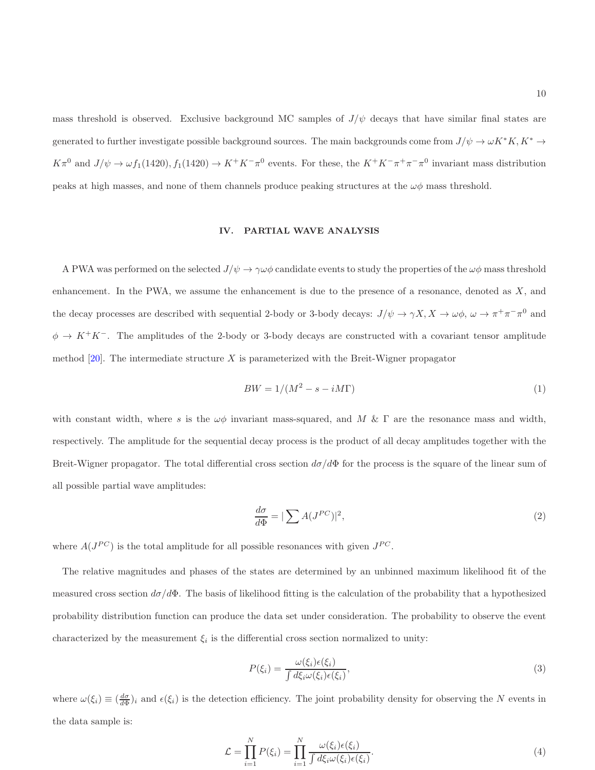mass threshold is observed. Exclusive background MC samples of  $J/\psi$  decays that have similar final states are generated to further investigate possible background sources. The main backgrounds come from  $J/\psi \to \omega K^* K$ ,  $K^* \to$  $K\pi^0$  and  $J/\psi \to \omega f_1(1420), f_1(1420) \to K^+K^-\pi^0$  events. For these, the  $K^+K^-\pi^+\pi^-\pi^0$  invariant mass distribution peaks at high masses, and none of them channels produce peaking structures at the  $\omega\phi$  mass threshold.

### IV. PARTIAL WAVE ANALYSIS

A PWA was performed on the selected  $J/\psi \to \gamma \omega \phi$  candidate events to study the properties of the  $\omega \phi$  mass threshold enhancement. In the PWA, we assume the enhancement is due to the presence of a resonance, denoted as  $X$ , and the decay processes are described with sequential 2-body or 3-body decays:  $J/\psi \to \gamma X$ ,  $X \to \omega \phi$ ,  $\omega \to \pi^+ \pi^- \pi^0$  and  $\phi \to K^+K^-$ . The amplitudes of the 2-body or 3-body decays are constructed with a covariant tensor amplitude method  $[20]$ . The intermediate structure X is parameterized with the Breit-Wigner propagator

$$
BW = 1/(M^2 - s - iM\Gamma) \tag{1}
$$

with constant width, where s is the  $\omega\phi$  invariant mass-squared, and M & Γ are the resonance mass and width, respectively. The amplitude for the sequential decay process is the product of all decay amplitudes together with the Breit-Wigner propagator. The total differential cross section  $d\sigma/d\Phi$  for the process is the square of the linear sum of all possible partial wave amplitudes:

$$
\frac{d\sigma}{d\Phi} = |\sum A(J^{PC})|^2,\tag{2}
$$

where  $A(J^{PC})$  is the total amplitude for all possible resonances with given  $J^{PC}$ .

The relative magnitudes and phases of the states are determined by an unbinned maximum likelihood fit of the measured cross section  $d\sigma/d\Phi$ . The basis of likelihood fitting is the calculation of the probability that a hypothesized probability distribution function can produce the data set under consideration. The probability to observe the event characterized by the measurement  $\xi_i$  is the differential cross section normalized to unity:

$$
P(\xi_i) = \frac{\omega(\xi_i)\epsilon(\xi_i)}{\int d\xi_i \omega(\xi_i)\epsilon(\xi_i)},\tag{3}
$$

where  $\omega(\xi_i) \equiv \left(\frac{d\sigma}{d\Phi}\right)_i$  and  $\epsilon(\xi_i)$  is the detection efficiency. The joint probability density for observing the N events in the data sample is:

$$
\mathcal{L} = \prod_{i=1}^{N} P(\xi_i) = \prod_{i=1}^{N} \frac{\omega(\xi_i)\epsilon(\xi_i)}{\int d\xi_i \omega(\xi_i)\epsilon(\xi_i)}.
$$
\n(4)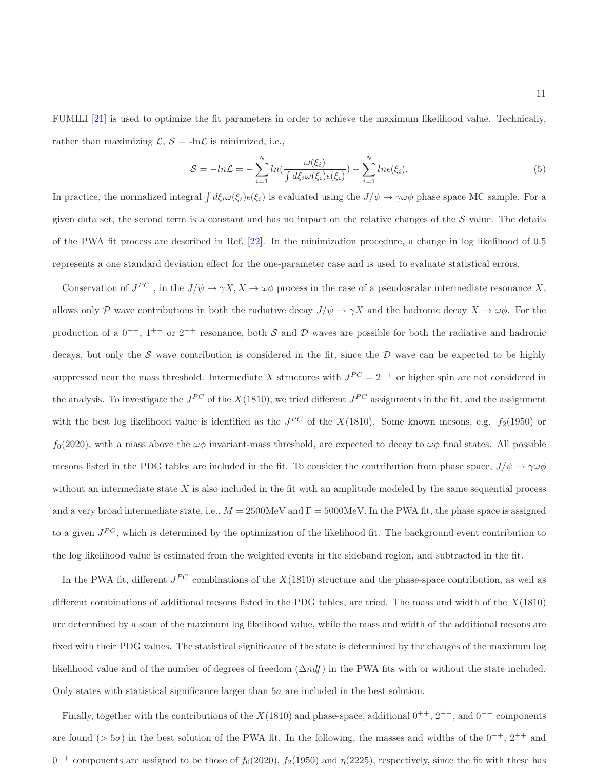FUMILI [21] is used to optimize the fit parameters in order to achieve the maximum likelihood value. Technically, rather than maximizing  $\mathcal{L}, \mathcal{S} = -\ln \mathcal{L}$  is minimized, i.e.,

$$
S = -\ln \mathcal{L} = -\sum_{i=1}^{N} \ln \left( \frac{\omega(\xi_i)}{\int d\xi_i \omega(\xi_i) \epsilon(\xi_i)} \right) - \sum_{i=1}^{N} \ln \epsilon(\xi_i). \tag{5}
$$

In practice, the normalized integral  $\int d\xi_i \omega(\xi_i) \epsilon(\xi_i)$  is evaluated using the  $J/\psi \to \gamma \omega \phi$  phase space MC sample. For a given data set, the second term is a constant and has no impact on the relative changes of the  $S$  value. The details of the PWA fit process are described in Ref. [22]. In the minimization procedure, a change in log likelihood of 0.5 represents a one standard deviation effect for the one-parameter case and is used to evaluate statistical errors.

Conservation of  $J^{PC}$ , in the  $J/\psi \to \gamma X$ ,  $X \to \omega\phi$  process in the case of a pseudoscalar intermediate resonance X, allows only P wave contributions in both the radiative decay  $J/\psi \to \gamma X$  and the hadronic decay  $X \to \omega \phi$ . For the production of a  $0^{++}$ ,  $1^{++}$  or  $2^{++}$  resonance, both S and D waves are possible for both the radiative and hadronic decays, but only the S wave contribution is considered in the fit, since the  $D$  wave can be expected to be highly suppressed near the mass threshold. Intermediate X structures with  $J^{PC} = 2^{-+}$  or higher spin are not considered in the analysis. To investigate the  $J^{PC}$  of the  $X(1810)$ , we tried different  $J^{PC}$  assignments in the fit, and the assignment with the best log likelihood value is identified as the  $J^{PC}$  of the  $X(1810)$ . Some known mesons, e.g.  $f_2(1950)$  or  $f_0(2020)$ , with a mass above the  $\omega\phi$  invariant-mass threshold, are expected to decay to  $\omega\phi$  final states. All possible mesons listed in the PDG tables are included in the fit. To consider the contribution from phase space,  $J/\psi \to \gamma \omega \phi$ without an intermediate state  $X$  is also included in the fit with an amplitude modeled by the same sequential process and a very broad intermediate state, i.e.,  $M = 2500$ MeV and  $\Gamma = 5000$ MeV. In the PWA fit, the phase space is assigned to a given  $J^{PC}$ , which is determined by the optimization of the likelihood fit. The background event contribution to the log likelihood value is estimated from the weighted events in the sideband region, and subtracted in the fit.

In the PWA fit, different  $J^{PC}$  combinations of the  $X(1810)$  structure and the phase-space contribution, as well as different combinations of additional mesons listed in the PDG tables, are tried. The mass and width of the  $X(1810)$ are determined by a scan of the maximum log likelihood value, while the mass and width of the additional mesons are fixed with their PDG values. The statistical significance of the state is determined by the changes of the maximum log likelihood value and of the number of degrees of freedom  $(\Delta ndf)$  in the PWA fits with or without the state included. Only states with statistical significance larger than  $5\sigma$  are included in the best solution.

Finally, together with the contributions of the  $X(1810)$  and phase-space, additional  $0^{++}$ ,  $2^{++}$ , and  $0^{-+}$  components are found ( $> 5\sigma$ ) in the best solution of the PWA fit. In the following, the masses and widths of the  $0^{++}$ ,  $2^{++}$  and  $0^{-+}$  components are assigned to be those of  $f_0(2020)$ ,  $f_2(1950)$  and  $\eta(2225)$ , respectively, since the fit with these has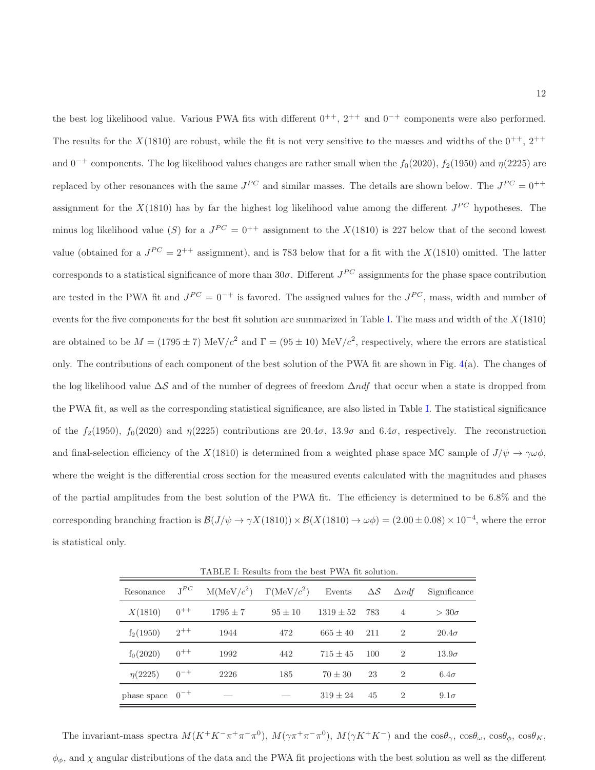the best log likelihood value. Various PWA fits with different  $0^{++}$ ,  $2^{++}$  and  $0^{-+}$  components were also performed. The results for the  $X(1810)$  are robust, while the fit is not very sensitive to the masses and widths of the  $0^{++}$ ,  $2^{++}$ and 0<sup>-+</sup> components. The log likelihood values changes are rather small when the  $f_0(2020)$ ,  $f_2(1950)$  and  $\eta(2225)$  are replaced by other resonances with the same  $J^{PC}$  and similar masses. The details are shown below. The  $J^{PC} = 0^{++}$ assignment for the  $X(1810)$  has by far the highest log likelihood value among the different  $J^{PC}$  hypotheses. The minus log likelihood value (S) for a  $J^{PC} = 0^{++}$  assignment to the  $X(1810)$  is 227 below that of the second lowest value (obtained for a  $J^{PC} = 2^{++}$  assignment), and is 783 below that for a fit with the  $X(1810)$  omitted. The latter corresponds to a statistical significance of more than  $30\sigma$ . Different  $J^{PC}$  assignments for the phase space contribution are tested in the PWA fit and  $J^{PC} = 0^{-+}$  is favored. The assigned values for the  $J^{PC}$ , mass, width and number of events for the five components for the best fit solution are summarized in Table I. The mass and width of the  $X(1810)$ are obtained to be  $M = (1795 \pm 7) \text{ MeV}/c^2$  and  $\Gamma = (95 \pm 10) \text{ MeV}/c^2$ , respectively, where the errors are statistical only. The contributions of each component of the best solution of the PWA fit are shown in Fig. 4(a). The changes of the log likelihood value  $\Delta S$  and of the number of degrees of freedom  $\Delta n df$  that occur when a state is dropped from the PWA fit, as well as the corresponding statistical significance, are also listed in Table I. The statistical significance of the  $f_2(1950)$ ,  $f_0(2020)$  and  $\eta(2225)$  contributions are  $20.4\sigma$ ,  $13.9\sigma$  and  $6.4\sigma$ , respectively. The reconstruction and final-selection efficiency of the  $X(1810)$  is determined from a weighted phase space MC sample of  $J/\psi \to \gamma \omega \phi$ , where the weight is the differential cross section for the measured events calculated with the magnitudes and phases of the partial amplitudes from the best solution of the PWA fit. The efficiency is determined to be 6.8% and the corresponding branching fraction is  $\mathcal{B}(J/\psi \to \gamma X(1810)) \times \mathcal{B}(X(1810) \to \omega \phi) = (2.00 \pm 0.08) \times 10^{-4}$ , where the error is statistical only.

TABLE I: Results from the best PWA fit solution.

| Resonance            | $J^{PC}$ | M(MeV/c <sup>2</sup> ) | $\Gamma(\text{MeV}/c^2)$ | Events        | $\Delta \mathcal{S}$ | $\Delta ndf$   | Significance |
|----------------------|----------|------------------------|--------------------------|---------------|----------------------|----------------|--------------|
| X(1810)              | $0^{++}$ | $1795 \pm 7$           | $95 \pm 10$              | $1319 \pm 52$ | 783                  | $\overline{4}$ | $>30\sigma$  |
| $f_2(1950)$          | $2^{++}$ | 1944                   | 472                      | $665 \pm 40$  | 211                  | $\mathcal{D}$  | $20.4\sigma$ |
| $f_0(2020)$          | $0^{++}$ | 1992                   | 442                      | $715 + 45$    | 100                  | $\mathcal{D}$  | $13.9\sigma$ |
| $\eta(2225)$         | $0^{-+}$ | 2226                   | 185                      | $70 \pm 30$   | 23                   | $\overline{2}$ | $6.4\sigma$  |
| phase space $0^{-+}$ |          |                        |                          | $319 + 24$    | 45                   | $\mathcal{D}$  | $9.1\sigma$  |

The invariant-mass spectra  $M(K^+K^-\pi^+\pi^-\pi^0)$ ,  $M(\gamma\pi^+\pi^-\pi^0)$ ,  $M(\gamma K^+K^-)$  and the  $\cos\theta_\gamma$ ,  $\cos\theta_\omega$ ,  $\cos\theta_\phi$ ,  $\cos\theta_K$ ,  $\phi_{\phi}$ , and  $\chi$  angular distributions of the data and the PWA fit projections with the best solution as well as the different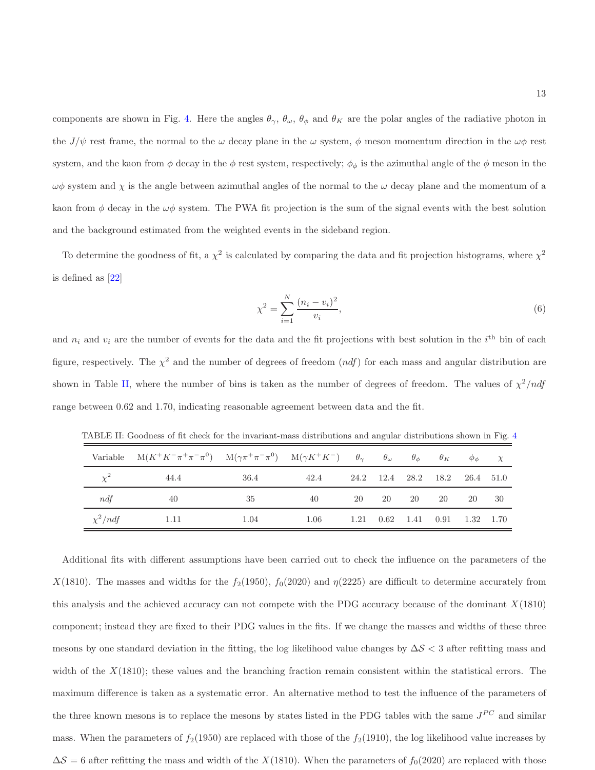components are shown in Fig. 4. Here the angles  $\theta_{\gamma}$ ,  $\theta_{\omega}$ ,  $\theta_{\phi}$  and  $\theta_{K}$  are the polar angles of the radiative photon in the  $J/\psi$  rest frame, the normal to the  $\omega$  decay plane in the  $\omega$  system,  $\phi$  meson momentum direction in the  $\omega\phi$  rest system, and the kaon from  $\phi$  decay in the  $\phi$  rest system, respectively;  $\phi_{\phi}$  is the azimuthal angle of the  $\phi$  meson in the  $\omega\phi$  system and  $\chi$  is the angle between azimuthal angles of the normal to the  $\omega$  decay plane and the momentum of a kaon from  $\phi$  decay in the  $\omega\phi$  system. The PWA fit projection is the sum of the signal events with the best solution and the background estimated from the weighted events in the sideband region.

To determine the goodness of fit, a  $\chi^2$  is calculated by comparing the data and fit projection histograms, where  $\chi^2$ is defined as [22]

$$
\chi^2 = \sum_{i=1}^{N} \frac{(n_i - v_i)^2}{v_i},\tag{6}
$$

and  $n_i$  and  $v_i$  are the number of events for the data and the fit projections with best solution in the  $i^{\text{th}}$  bin of each figure, respectively. The  $\chi^2$  and the number of degrees of freedom  $(ndf)$  for each mass and angular distribution are shown in Table II, where the number of bins is taken as the number of degrees of freedom. The values of  $\chi^2/ndf$ range between 0.62 and 1.70, indicating reasonable agreement between data and the fit.

|              | Variable $M(K^+K^-\pi^+\pi^-\pi^0)$ $M(\gamma\pi^+\pi^-\pi^0)$ $M(\gamma K^+K^-)$ $\theta_{\gamma}$ $\theta_{\omega}$ $\theta_{\phi}$ |      |      |    |     |    |                                                               | $\theta_K$ $\phi_\phi$ $\chi$ |     |
|--------------|---------------------------------------------------------------------------------------------------------------------------------------|------|------|----|-----|----|---------------------------------------------------------------|-------------------------------|-----|
| $\chi^2$     | 44.4                                                                                                                                  | 36.4 | 42.4 |    |     |    | 24.2 12.4 28.2 18.2 26.4 51.0                                 |                               |     |
| ndf          | 40                                                                                                                                    | 35   | 40   | 20 | -20 | 20 | -20                                                           | -20                           | -30 |
| $\chi^2/ndf$ | -1.11                                                                                                                                 | 1.04 | 1.06 |    |     |    | $1.21 \quad 0.62 \quad 1.41 \quad 0.91 \quad 1.32 \quad 1.70$ |                               |     |

TABLE II: Goodness of fit check for the invariant-mass distributions and angular distributions shown in Fig. 4

Additional fits with different assumptions have been carried out to check the influence on the parameters of the X(1810). The masses and widths for the  $f_2(1950)$ ,  $f_0(2020)$  and  $\eta(2225)$  are difficult to determine accurately from this analysis and the achieved accuracy can not compete with the PDG accuracy because of the dominant X(1810) component; instead they are fixed to their PDG values in the fits. If we change the masses and widths of these three mesons by one standard deviation in the fitting, the log likelihood value changes by  $\Delta S < 3$  after refitting mass and width of the  $X(1810)$ ; these values and the branching fraction remain consistent within the statistical errors. The maximum difference is taken as a systematic error. An alternative method to test the influence of the parameters of the three known mesons is to replace the mesons by states listed in the PDG tables with the same  $J^{PC}$  and similar mass. When the parameters of  $f_2(1950)$  are replaced with those of the  $f_2(1910)$ , the log likelihood value increases by  $\Delta S = 6$  after refitting the mass and width of the X(1810). When the parameters of  $f_0(2020)$  are replaced with those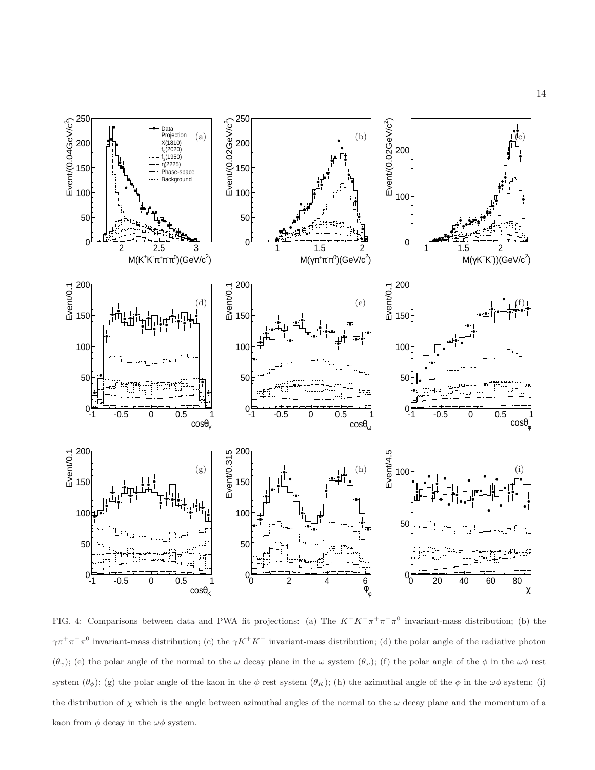

FIG. 4: Comparisons between data and PWA fit projections: (a) The  $K^+K^-\pi^+\pi^-\pi^0$  invariant-mass distribution; (b) the  $\gamma\pi^+\pi^-\pi^0$  invariant-mass distribution; (c) the  $\gamma K^+K^-$  invariant-mass distribution; (d) the polar angle of the radiative photon (θ<sub>γ</sub>); (e) the polar angle of the normal to the ω decay plane in the ω system (θ<sub>ω</sub>); (f) the polar angle of the  $\phi$  in the  $\omega\phi$  rest system  $(\theta_{\phi})$ ; (g) the polar angle of the kaon in the  $\phi$  rest system  $(\theta_K)$ ; (h) the azimuthal angle of the  $\phi$  in the  $\omega\phi$  system; (i) the distribution of  $\chi$  which is the angle between azimuthal angles of the normal to the  $\omega$  decay plane and the momentum of a kaon from  $\phi$  decay in the  $\omega\phi$  system.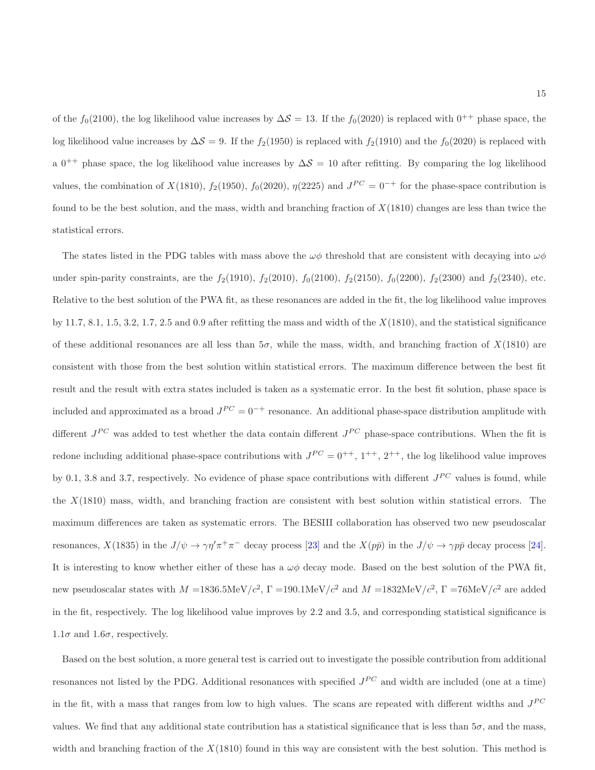of the  $f_0(2100)$ , the log likelihood value increases by  $\Delta S = 13$ . If the  $f_0(2020)$  is replaced with  $0^{++}$  phase space, the log likelihood value increases by  $\Delta S = 9$ . If the f<sub>2</sub>(1950) is replaced with f<sub>2</sub>(1910) and the f<sub>0</sub>(2020) is replaced with a 0<sup>++</sup> phase space, the log likelihood value increases by  $\Delta S = 10$  after refitting. By comparing the log likelihood values, the combination of  $X(1810)$ ,  $f_2(1950)$ ,  $f_0(2020)$ ,  $\eta(2225)$  and  $J^{PC} = 0^{-+}$  for the phase-space contribution is found to be the best solution, and the mass, width and branching fraction of  $X(1810)$  changes are less than twice the statistical errors.

The states listed in the PDG tables with mass above the  $\omega\phi$  threshold that are consistent with decaying into  $\omega\phi$ under spin-parity constraints, are the  $f_2(1910)$ ,  $f_2(2010)$ ,  $f_0(2100)$ ,  $f_2(2150)$ ,  $f_0(2200)$ ,  $f_2(2300)$  and  $f_2(2340)$ , etc. Relative to the best solution of the PWA fit, as these resonances are added in the fit, the log likelihood value improves by 11.7, 8.1, 1.5, 3.2, 1.7, 2.5 and 0.9 after refitting the mass and width of the  $X(1810)$ , and the statistical significance of these additional resonances are all less than  $5\sigma$ , while the mass, width, and branching fraction of  $X(1810)$  are consistent with those from the best solution within statistical errors. The maximum difference between the best fit result and the result with extra states included is taken as a systematic error. In the best fit solution, phase space is included and approximated as a broad  $J^{PC} = 0^{-+}$  resonance. An additional phase-space distribution amplitude with different  $J^{PC}$  was added to test whether the data contain different  $J^{PC}$  phase-space contributions. When the fit is redone including additional phase-space contributions with  $J^{PC} = 0^{++}$ ,  $1^{++}$ ,  $2^{++}$ , the log likelihood value improves by 0.1, 3.8 and 3.7, respectively. No evidence of phase space contributions with different  $J^{PC}$  values is found, while the  $X(1810)$  mass, width, and branching fraction are consistent with best solution within statistical errors. The maximum differences are taken as systematic errors. The BESIII collaboration has observed two new pseudoscalar resonances,  $X(1835)$  in the  $J/\psi \to \gamma \eta' \pi^+ \pi^-$  decay process [23] and the  $X(p\bar{p})$  in the  $J/\psi \to \gamma p\bar{p}$  decay process [24]. It is interesting to know whether either of these has a  $\omega\phi$  decay mode. Based on the best solution of the PWA fit, new pseudoscalar states with  $M = 1836.5 \text{MeV}/c^2$ ,  $\Gamma = 190.1 \text{MeV}/c^2$  and  $M = 1832 \text{MeV}/c^2$ ,  $\Gamma = 76 \text{MeV}/c^2$  are added in the fit, respectively. The log likelihood value improves by 2.2 and 3.5, and corresponding statistical significance is  $1.1\sigma$  and  $1.6\sigma$ , respectively.

Based on the best solution, a more general test is carried out to investigate the possible contribution from additional resonances not listed by the PDG. Additional resonances with specified  $J^{PC}$  and width are included (one at a time) in the fit, with a mass that ranges from low to high values. The scans are repeated with different widths and  $J^{PC}$ values. We find that any additional state contribution has a statistical significance that is less than  $5\sigma$ , and the mass, width and branching fraction of the  $X(1810)$  found in this way are consistent with the best solution. This method is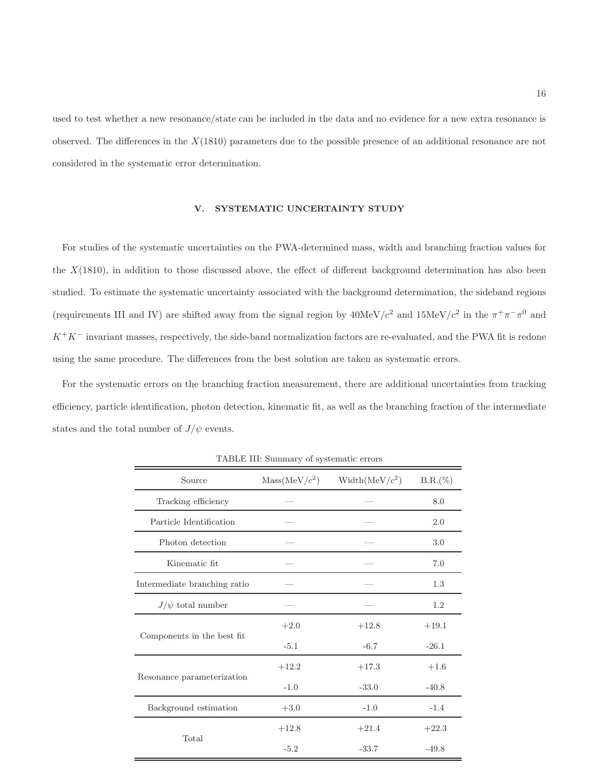used to test whether a new resonance/state can be included in the data and no evidence for a new extra resonance is observed. The differences in the  $X(1810)$  parameters due to the possible presence of an additional resonance are not considered in the systematic error determination.

## V. SYSTEMATIC UNCERTAINTY STUDY

For studies of the systematic uncertainties on the PWA-determined mass, width and branching fraction values for the  $X(1810)$ , in addition to those discussed above, the effect of different background determination has also been studied. To estimate the systematic uncertainty associated with the background determination, the sideband regions (requirements III and IV) are shifted away from the signal region by  $40MeV/c^2$  and  $15MeV/c^2$  in the  $\pi^+\pi^-\pi^0$  and  $K^+K^-$  invariant masses, respectively, the side-band normalization factors are re-evaluated, and the PWA fit is redone using the same procedure. The differences from the best solution are taken as systematic errors.

For the systematic errors on the branching fraction measurement, there are additional uncertainties from tracking efficiency, particle identification, photon detection, kinematic fit, as well as the branching fraction of the intermediate states and the total number of  $J/\psi$  events.

| Source                       | Mass(MeV/c <sup>2</sup> ) | Width(MeV/ $c^2$ ) | $B.R.(\%)$ |
|------------------------------|---------------------------|--------------------|------------|
| Tracking efficiency          |                           |                    | 8.0        |
| Particle Identification      |                           |                    | 2.0        |
| Photon detection             |                           |                    | 3.0        |
| Kinematic fit                |                           |                    | 7.0        |
| Intermediate branching ratio |                           |                    | 1.3        |
| $J/\psi$ total number        |                           |                    | 1.2        |
|                              | $+2.0$                    | $+12.8$            | $+19.1$    |
| Components in the best fit   | $-5.1$                    | $-6.7$             | $-26.1$    |
|                              | $+12.2$                   | $+17.3$            | $+1.6$     |
| Resonance parameterization   | $-1.0$                    | $-33.0$            | $-40.8$    |
| Background estimation        | $+3.0$                    | $-1.0$             | $-1.4$     |
|                              | $+12.8$                   | $+21.4$            | $+22.3$    |
| Total                        | $-5.2$                    | $-33.7$            | $-49.8$    |

TABLE III: Summary of systematic errors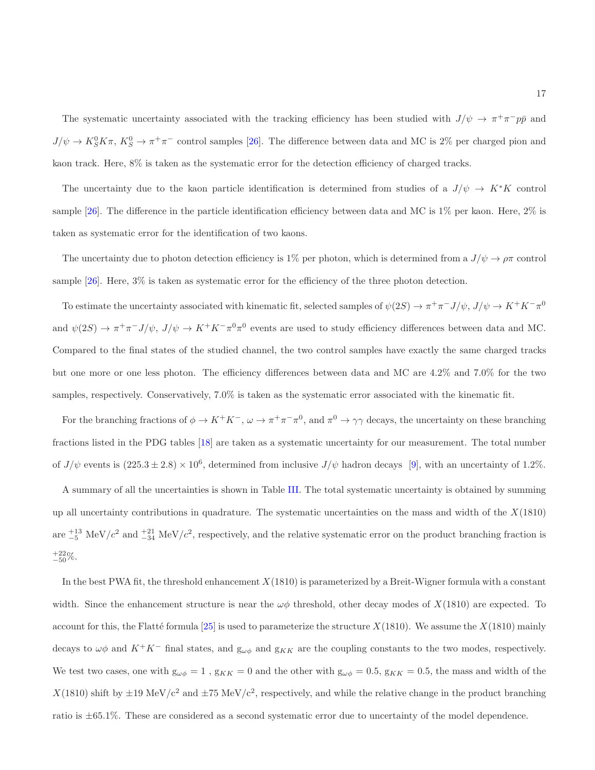The systematic uncertainty associated with the tracking efficiency has been studied with  $J/\psi \to \pi^+\pi^-p\bar{p}$  and  $J/\psi \to K_S^0 K \pi$ ,  $K_S^0 \to \pi^+ \pi^-$  control samples [26]. The difference between data and MC is 2% per charged pion and kaon track. Here, 8% is taken as the systematic error for the detection efficiency of charged tracks.

The uncertainty due to the kaon particle identification is determined from studies of a  $J/\psi \to K^*K$  control sample [26]. The difference in the particle identification efficiency between data and MC is 1% per kaon. Here, 2% is taken as systematic error for the identification of two kaons.

The uncertainty due to photon detection efficiency is 1% per photon, which is determined from a  $J/\psi \to \rho \pi$  control sample [26]. Here, 3% is taken as systematic error for the efficiency of the three photon detection.

To estimate the uncertainty associated with kinematic fit, selected samples of  $\psi(2S) \to \pi^+ \pi^- J/\psi$ ,  $J/\psi \to K^+ K^- \pi^0$ and  $\psi(2S) \to \pi^+\pi^- J/\psi$ ,  $J/\psi \to K^+K^-\pi^0\pi^0$  events are used to study efficiency differences between data and MC. Compared to the final states of the studied channel, the two control samples have exactly the same charged tracks but one more or one less photon. The efficiency differences between data and MC are 4.2% and 7.0% for the two samples, respectively. Conservatively, 7.0% is taken as the systematic error associated with the kinematic fit.

For the branching fractions of  $\phi \to K^+K^-$ ,  $\omega \to \pi^+\pi^-\pi^0$ , and  $\pi^0 \to \gamma\gamma$  decays, the uncertainty on these branching fractions listed in the PDG tables [18] are taken as a systematic uncertainty for our measurement. The total number of  $J/\psi$  events is  $(225.3 \pm 2.8) \times 10^6$ , determined from inclusive  $J/\psi$  hadron decays [9], with an uncertainty of 1.2%.

A summary of all the uncertainties is shown in Table III. The total systematic uncertainty is obtained by summing up all uncertainty contributions in quadrature. The systematic uncertainties on the mass and width of the  $X(1810)$ are  $_{-5}^{+13}$  MeV/c<sup>2</sup> and  $_{-34}^{+21}$  MeV/c<sup>2</sup>, respectively, and the relative systematic error on the product branching fraction is  $^{+22}_{-50}\%$ .

In the best PWA fit, the threshold enhancement  $X(1810)$  is parameterized by a Breit-Wigner formula with a constant width. Since the enhancement structure is near the  $\omega\phi$  threshold, other decay modes of  $X(1810)$  are expected. To account for this, the Flatté formula [25] is used to parameterize the structure  $X(1810)$ . We assume the  $X(1810)$  mainly decays to  $\omega\phi$  and  $K^+K^-$  final states, and  $g_{\omega\phi}$  and  $g_{KK}$  are the coupling constants to the two modes, respectively. We test two cases, one with  $g_{\omega\phi} = 1$ ,  $g_{KK} = 0$  and the other with  $g_{\omega\phi} = 0.5$ ,  $g_{KK} = 0.5$ , the mass and width of the  $X(1810)$  shift by  $\pm 19 \text{ MeV}/c^2$  and  $\pm 75 \text{ MeV}/c^2$ , respectively, and while the relative change in the product branching ratio is ±65.1%. These are considered as a second systematic error due to uncertainty of the model dependence.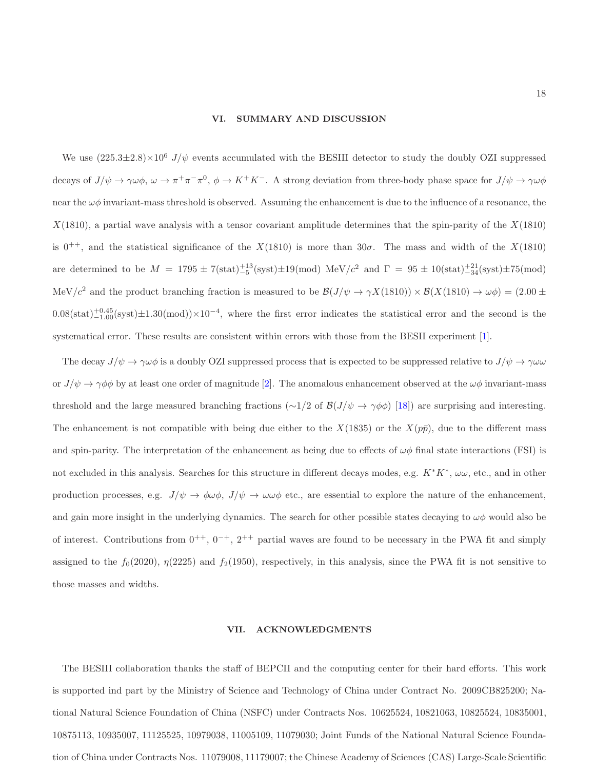### VI. SUMMARY AND DISCUSSION

We use  $(225.3\pm2.8)\times10^6$  J/ $\psi$  events accumulated with the BESIII detector to study the doubly OZI suppressed decays of  $J/\psi \to \gamma \omega \phi$ ,  $\omega \to \pi^+ \pi^- \pi^0$ ,  $\phi \to K^+ K^-$ . A strong deviation from three-body phase space for  $J/\psi \to \gamma \omega \phi$ near the  $\omega\phi$  invariant-mass threshold is observed. Assuming the enhancement is due to the influence of a resonance, the  $X(1810)$ , a partial wave analysis with a tensor covariant amplitude determines that the spin-parity of the  $X(1810)$ is 0<sup>++</sup>, and the statistical significance of the  $X(1810)$  is more than 30 $\sigma$ . The mass and width of the  $X(1810)$ are determined to be  $M = 1795 \pm 7(\text{stat})^{+13}_{-5}(\text{syst}) \pm 19 (\text{mod}) \text{ MeV}/c^2 \text{ and } \Gamma = 95 \pm 10(\text{stat})^{+21}_{-34}(\text{syst}) \pm 75 (\text{mod})$ MeV/c<sup>2</sup> and the product branching fraction is measured to be  $\mathcal{B}(J/\psi \to \gamma X(1810)) \times \mathcal{B}(X(1810) \to \omega \phi) = (2.00 \pm 0.00 \pm 0.00 \pm 0.00 \pm 0.00 \pm 0.00 \pm 0.00 \pm 0.00 \pm 0.00 \pm 0.00 \pm 0.00 \pm 0.00 \pm 0.00 \pm 0.00 \pm 0.00 \pm 0.00 \pm 0.$  $0.08(stat)^{+0.45}_{-1.00}$  (syst) $\pm 1.30$  (mod)) $\times 10^{-4}$ , where the first error indicates the statistical error and the second is the systematical error. These results are consistent within errors with those from the BESII experiment [1].

The decay  $J/\psi \to \gamma \omega \phi$  is a doubly OZI suppressed process that is expected to be suppressed relative to  $J/\psi \to \gamma \omega \omega$ or  $J/\psi \to \gamma \phi \phi$  by at least one order of magnitude [2]. The anomalous enhancement observed at the  $\omega \phi$  invariant-mass threshold and the large measured branching fractions (∼1/2 of  $\mathcal{B}(J/\psi \to \gamma \phi \phi)$  [18]) are surprising and interesting. The enhancement is not compatible with being due either to the  $X(1835)$  or the  $X(p\bar{p})$ , due to the different mass and spin-parity. The interpretation of the enhancement as being due to effects of  $\omega\phi$  final state interactions (FSI) is not excluded in this analysis. Searches for this structure in different decays modes, e.g.  $K^*K^*$ ,  $\omega\omega$ , etc., and in other production processes, e.g.  $J/\psi \to \phi \omega \phi$ ,  $J/\psi \to \omega \omega \phi$  etc., are essential to explore the nature of the enhancement, and gain more insight in the underlying dynamics. The search for other possible states decaying to  $\omega\phi$  would also be of interest. Contributions from  $0^{++}$ ,  $0^{-+}$ ,  $2^{++}$  partial waves are found to be necessary in the PWA fit and simply assigned to the  $f_0(2020)$ ,  $\eta(2225)$  and  $f_2(1950)$ , respectively, in this analysis, since the PWA fit is not sensitive to those masses and widths.

### VII. ACKNOWLEDGMENTS

The BESIII collaboration thanks the staff of BEPCII and the computing center for their hard efforts. This work is supported ind part by the Ministry of Science and Technology of China under Contract No. 2009CB825200; National Natural Science Foundation of China (NSFC) under Contracts Nos. 10625524, 10821063, 10825524, 10835001, 10875113, 10935007, 11125525, 10979038, 11005109, 11079030; Joint Funds of the National Natural Science Foundation of China under Contracts Nos. 11079008, 11179007; the Chinese Academy of Sciences (CAS) Large-Scale Scientific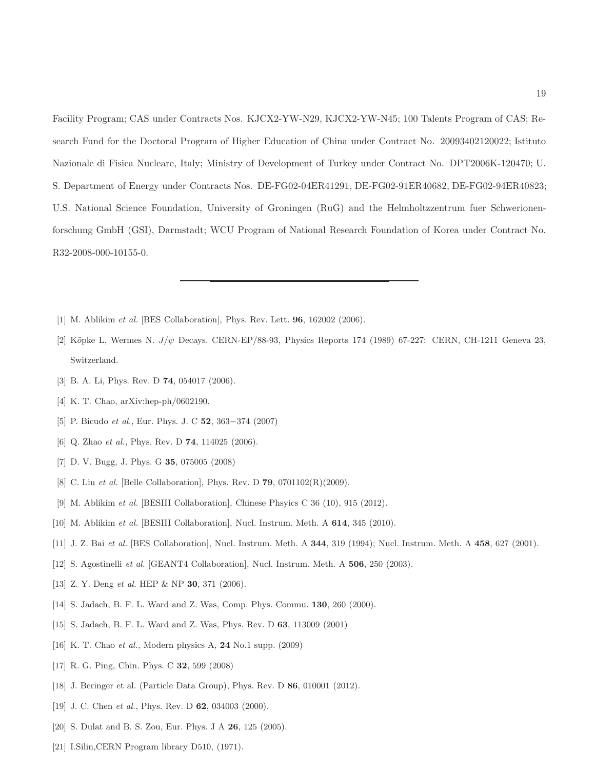Facility Program; CAS under Contracts Nos. KJCX2-YW-N29, KJCX2-YW-N45; 100 Talents Program of CAS; Research Fund for the Doctoral Program of Higher Education of China under Contract No. 20093402120022; Istituto Nazionale di Fisica Nucleare, Italy; Ministry of Development of Turkey under Contract No. DPT2006K-120470; U. S. Department of Energy under Contracts Nos. DE-FG02-04ER41291, DE-FG02-91ER40682, DE-FG02-94ER40823; U.S. National Science Foundation, University of Groningen (RuG) and the Helmholtzzentrum fuer Schwerionenforschung GmbH (GSI), Darmstadt; WCU Program of National Research Foundation of Korea under Contract No. R32-2008-000-10155-0.

- [1] M. Ablikim *et al.* [BES Collaboration], Phys. Rev. Lett. 96, 162002 (2006).
- [2] Köpke L, Wermes N.  $J/\psi$  Decays. CERN-EP/88-93, Physics Reports 174 (1989) 67-227: CERN, CH-1211 Geneva 23, Switzerland.
- [3] B. A. Li, Phys. Rev. D **74**, 054017 (2006).
- [4] K. T. Chao, arXiv:hep-ph/0602190.
- [5] P. Bicudo *et al.*, Eur. Phys. J. C **52**, 363–374 (2007)
- [6] Q. Zhao *et al.*, Phys. Rev. D 74, 114025 (2006).
- [7] D. V. Bugg, J. Phys. G 35, 075005 (2008)
- [8] C. Liu *et al.* [Belle Collaboration], Phys. Rev. D 79, 0701102(R)(2009).
- [9] M. Ablikim *et al.* [BESIII Collaboration], Chinese Phsyics C 36 (10), 915 (2012).
- [10] M. Ablikim *et al.* [BESIII Collaboration], Nucl. Instrum. Meth. A 614, 345 (2010).
- [11] J. Z. Bai *et al.* [BES Collaboration], Nucl. Instrum. Meth. A 344, 319 (1994); Nucl. Instrum. Meth. A 458, 627 (2001).
- [12] S. Agostinelli *et al.* [GEANT4 Collaboration], Nucl. Instrum. Meth. A 506, 250 (2003).
- [13] Z. Y. Deng *et al.* HEP & NP 30, 371 (2006).
- [14] S. Jadach, B. F. L. Ward and Z. Was, Comp. Phys. Commu. 130, 260 (2000).
- [15] S. Jadach, B. F. L. Ward and Z. Was, Phys. Rev. D 63, 113009 (2001)
- [16] K. T. Chao *et al.*, Modern physics A, 24 No.1 supp. (2009)
- [17] R. G. Ping, Chin. Phys. C 32, 599 (2008)
- [18] J. Beringer et al. (Particle Data Group), Phys. Rev. D **86**, 010001 (2012).
- [19] J. C. Chen *et al.*, Phys. Rev. D **62**, 034003 (2000).
- [20] S. Dulat and B. S. Zou, Eur. Phys. J A **26**, 125 (2005).
- [21] I.Silin,CERN Program library D510, (1971).